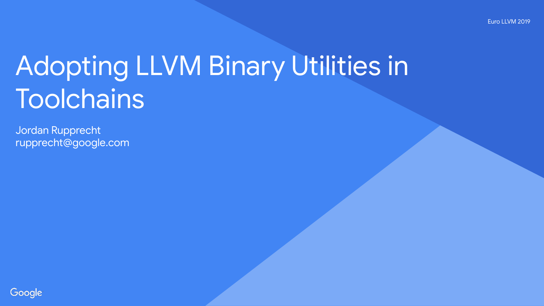# Adopting LLVM Binary Utilities in **Toolchains**

Jordan Rupprecht rupprecht@google.com

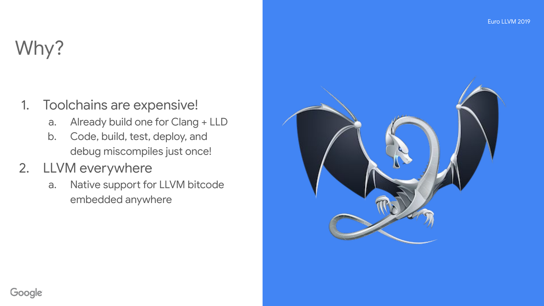# Why?

#### 1. Toolchains are expensive!

- a. Already build one for Clang + LLD
- b. Code, build, test, deploy, and debug miscompiles just once!

#### 2. LLVM everywhere

a. Native support for LLVM bitcode embedded anywhere

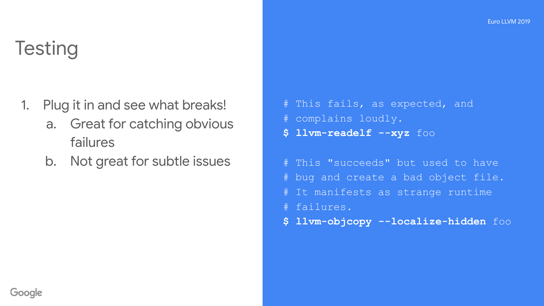### **Testing**

- 1. Plug it in and see what breaks!
	- a. Great for catching obvious failures
	- b. Not great for subtle issues

```
# This fails, as expected, and
# complains loudly.
$ llvm-readelf --xyz foo
```
# This "succeeds" but used to have # bug and create a bad object file. # It manifests as strange runtime # failures.

**\$ llvm-objcopy --localize-hidden** foo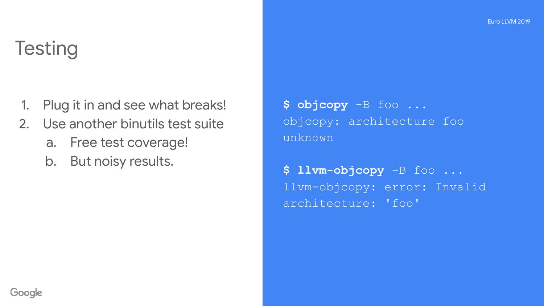### **Testing**

- 1. Plug it in and see what breaks!
- 2. Use another binutils test suite
	- a. Free test coverage!
	- b. But noisy results.

**\$ objcopy** -B foo ... objcopy: architecture foo unknown

**\$ llvm-objcopy** -B foo ... llvm-objcopy: error: Invalid architecture: 'foo'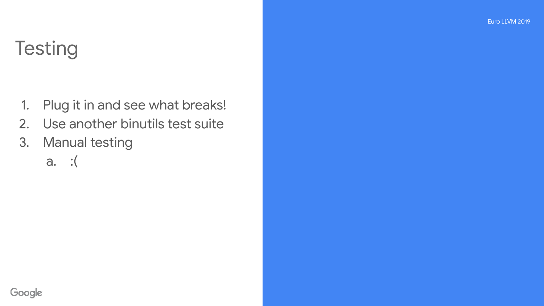### **Testing**

- 1. Plug it in and see what breaks!
- 2. Use another binutils test suite
- 3. Manual testing
	- a. :(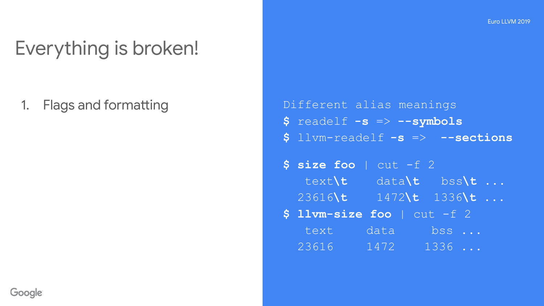# Everything is broken!

1. Flags and formatting **Exercise 2.1 Finally 1.** Different alias meanings **\$** readelf **-s** => **--symbols \$** llvm-readelf **-s** => **--sections**

> **\$ size foo** | cut -f 2 text**\t** data**\t** bss**\t** ... 23616**\t** 1472**\t** 1336**\t** ... **\$ llvm-size foo** | cut -f 2

 text data bss ... 23616 1472 1336 ...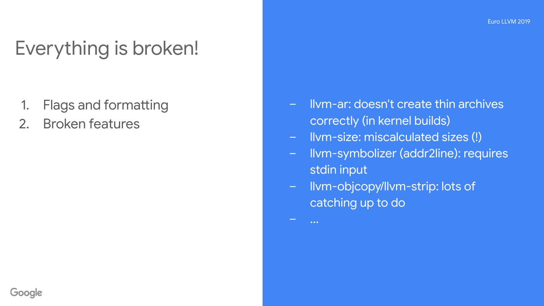# Everything is broken!

- 1. Flags and formatting
- 2. Broken features
- llvm-ar: doesn't create thin archives correctly (in kernel builds)
- llvm-size: miscalculated sizes (!)
- llvm-symbolizer (addr2line): requires stdin input
- llvm-objcopy/llvm-strip: lots of catching up to do

– ...

Google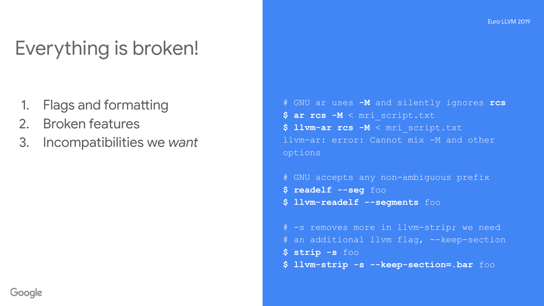# Everything is broken!

- 1. Flags and formatting
- 2. Broken features
- 3. Incompatibilities we *want*

```
# GNU ar uses -M and silently ignores rcs
$ ar rcs -M < mri_script.txt
$ llvm-ar rcs -M < mri_script.txt
llvm-ar: error: Cannot mix -M and other 
options
```

```
# GNU accepts any non-ambiguous prefix
$ readelf --seg foo
$ llvm-readelf --segments foo
```

```
# -s removes more in llvm-strip; we need
# an additional llvm flag, --keep-section
$ strip -s foo
$ llvm-strip -s --keep-section=.bar foo
```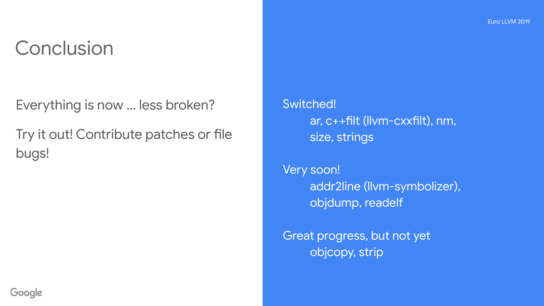#### **Conclusion**

Everything is now … less broken?

Try it out! Contribute patches or file bugs!

Switched! ar, c++filt (llvm-cxxfilt), nm, size, strings

Very soon! addr2line (llvm-symbolizer), objdump, readelf

Great progress, but not yet objcopy, strip